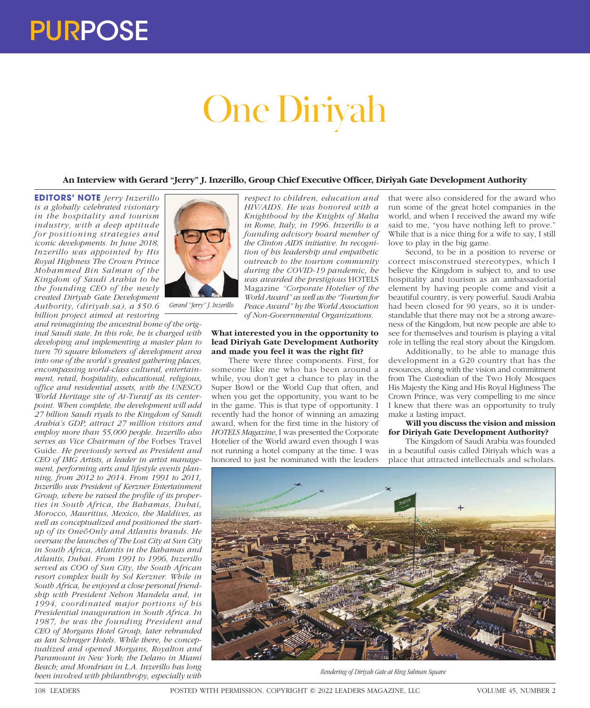# One Diriyah

# **An Interview with Gerard "Jerry" J. Inzerillo, Group Chief Executive Officer, Diriyah Gate Development Authority**

**EDITORS' NOTE** *Jerry Inzerillo is a globally celebrated visionary in the hospitality and tourism industry, with a deep aptitude for positioning strategies and iconic developments. In June 2018, Inzerillo was appointed by His Royal Highness The Crown Prince Mohammed Bin Salman of the Kingdom of Saudi Arabia to be the founding CEO of the newly created Diriyah Gate Development Authority, (diriyah.sa), a \$50.6 billion project aimed at restoring* 

*and reimagining the ancestral home of the original Saudi state. In this role, he is charged with developing and implementing a master plan to turn 70 square kilometers of development area into one of the world's greatest gathering places, encompassing world-class cultural, entertainment, retail, hospitality, educational, religious, office and residential assets, with the UNESCO World Heritage site of At-Turaif as its centerpoint. When complete, the development will add 27 billion Saudi riyals to the Kingdom of Saudi Arabia's GDP, attract 27 million visitors and employ more than 55,000 people. Inzerillo also serves as Vice Chairman of the* Forbes Travel Guide*. He previously served as President and CEO of IMG Artists, a leader in artist management, performing arts and lifestyle events planning, from 2012 to 2014. From 1991 to 2011, Inzerillo was President of Kerzner Entertainment Group, where he raised the profile of its properties in South Africa, the Bahamas, Dubai, Morocco, Mauritius, Mexico, the Maldives, as well as conceptualized and positioned the startup of its One&Only and Atlantis brands. He oversaw the launches of The Lost City at Sun City in South Africa, Atlantis in the Bahamas and Atlantis, Dubai. From 1991 to 1996, Inzerillo served as COO of Sun City, the South African resort complex built by Sol Kerzner. While in South Africa, he enjoyed a close personal friendship with President Nelson Mandela and, in 1994, coordinated major portions of his Presidential inauguration in South Africa. In 1987, he was the founding President and CEO of Morgans Hotel Group, later rebranded as Ian Schrager Hotels. While there, he conceptualized and opened Morgans, Royalton and Paramount in New York; the Delano in Miami Beach; and Mondrian in L.A. Inzerillo has long been involved with philanthropy, especially with* 



*Gerard "Jerry" J. Inzerillo*

*respect to children, education and HIV/AIDS. He was honored with a Knighthood by the Knights of Malta in Rome, Italy, in 1996. Inzerillo is a founding advisory board member of the Clinton AIDS initiative. In recognition of his leadership and empathetic outreach to the tourism community during the COVID-19 pandemic, he was awarded the prestigious* HOTELS Magazine *"Corporate Hotelier of the World Award" as well as the "Tourism for Peace Award" by the World Association* 

*of Non-Governmental Organizations.*

# **What interested you in the opportunity to lead Diriyah Gate Development Authority and made you feel it was the right fit?**

There were three components. First, for someone like me who has been around a while, you don't get a chance to play in the Super Bowl or the World Cup that often, and when you get the opportunity, you want to be in the game. This is that type of opportunity. I recently had the honor of winning an amazing award, when for the first time in the history of *HOTELS Magazine*, I was presented the Corporate Hotelier of the World award even though I was not running a hotel company at the time. I was honored to just be nominated with the leaders

that were also considered for the award who run some of the great hotel companies in the world, and when I received the award my wife said to me, "you have nothing left to prove." While that is a nice thing for a wife to say, I still love to play in the big game.

Second, to be in a position to reverse or correct misconstrued stereotypes, which I believe the Kingdom is subject to, and to use hospitality and tourism as an ambassadorial element by having people come and visit a beautiful country, is very powerful. Saudi Arabia had been closed for 90 years, so it is understandable that there may not be a strong awareness of the Kingdom, but now people are able to see for themselves and tourism is playing a vital role in telling the real story about the Kingdom.

Additionally, to be able to manage this development in a G20 country that has the resources, along with the vision and commitment from The Custodian of the Two Holy Mosques His Majesty the King and His Royal Highness The Crown Prince, was very compelling to me since I knew that there was an opportunity to truly make a lasting impact.

# **Will you discuss the vision and mission for Diriyah Gate Development Authority?**

The Kingdom of Saudi Arabia was founded in a beautiful oasis called Diriyah which was a place that attracted intellectuals and scholars.



*Rendering of Diriyah Gate at King Salman Square*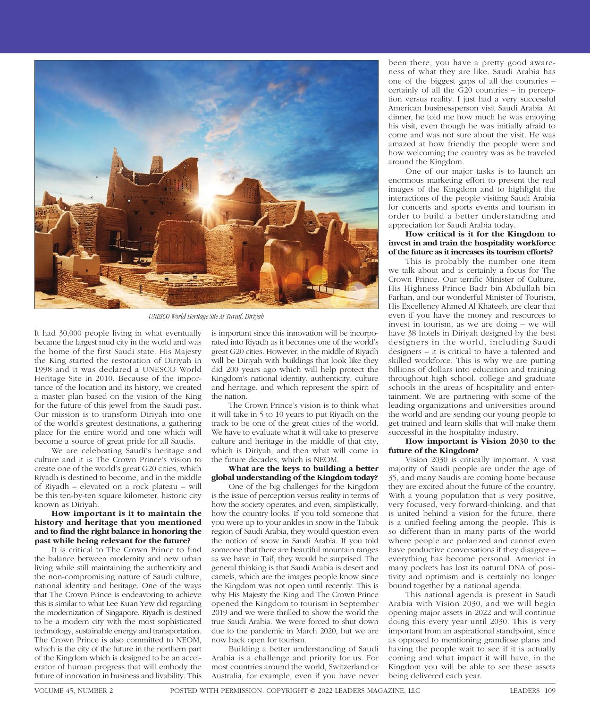

*UNESCO World Heritage Site At-Turaif, Diriyah*

It had 30,000 people living in what eventually became the largest mud city in the world and was the home of the first Saudi state. His Majesty the King started the restoration of Diriyah in 1998 and it was declared a UNESCO World Heritage Site in 2010. Because of the importance of the location and its history, we created a master plan based on the vision of the King for the future of this jewel from the Saudi past. Our mission is to transform Diriyah into one of the world's greatest destinations, a gathering place for the entire world and one which will become a source of great pride for all Saudis.

We are celebrating Saudi's heritage and culture and it is The Crown Prince's vision to create one of the world's great G20 cities, which Riyadh is destined to become, and in the middle of Riyadh – elevated on a rock plateau – will be this ten-by-ten square kilometer, historic city known as Diriyah.

### **How important is it to maintain the history and heritage that you mentioned and to find the right balance in honoring the past while being relevant for the future?**

It is critical to The Crown Prince to find the balance between modernity and new urban living while still maintaining the authenticity and the non-compromising nature of Saudi culture, national identity and heritage. One of the ways that The Crown Prince is endeavoring to achieve this is similar to what Lee Kuan Yew did regarding the modernization of Singapore. Riyadh is destined to be a modern city with the most sophisticated technology, sustainable energy and transportation. The Crown Prince is also committed to NEOM, which is the city of the future in the northern part of the Kingdom which is designed to be an accelerator of human progress that will embody the future of innovation in business and livability. This

is important since this innovation will be incorporated into Riyadh as it becomes one of the world's great G20 cities. However, in the middle of Riyadh will be Diriyah with buildings that look like they did 200 years ago which will help protect the Kingdom's national identity, authenticity, culture and heritage, and which represent the spirit of the nation.

The Crown Prince's vision is to think what it will take in 5 to 10 years to put Riyadh on the track to be one of the great cities of the world. We have to evaluate what it will take to preserve culture and heritage in the middle of that city, which is Diriyah, and then what will come in the future decades, which is NEOM.

### **What are the keys to building a better global understanding of the Kingdom today?**

One of the big challenges for the Kingdom is the issue of perception versus reality in terms of how the society operates, and even, simplistically, how the country looks. If you told someone that you were up to your ankles in snow in the Tabuk region of Saudi Arabia, they would question even the notion of snow in Saudi Arabia. If you told someone that there are beautiful mountain ranges as we have in Taif, they would be surprised. The general thinking is that Saudi Arabia is desert and camels, which are the images people know since the Kingdom was not open until recently. This is why His Majesty the King and The Crown Prince opened the Kingdom to tourism in September 2019 and we were thrilled to show the world the true Saudi Arabia. We were forced to shut down due to the pandemic in March 2020, but we are now back open for tourism.

Building a better understanding of Saudi Arabia is a challenge and priority for us. For most countries around the world, Switzerland or Australia, for example, even if you have never

been there, you have a pretty good awareness of what they are like. Saudi Arabia has one of the biggest gaps of all the countries – certainly of all the G20 countries – in perception versus reality. I just had a very successful American businessperson visit Saudi Arabia. At dinner, he told me how much he was enjoying his visit, even though he was initially afraid to come and was not sure about the visit. He was amazed at how friendly the people were and how welcoming the country was as he traveled around the Kingdom.

One of our major tasks is to launch an enormous marketing effort to present the real images of the Kingdom and to highlight the interactions of the people visiting Saudi Arabia for concerts and sports events and tourism in order to build a better understanding and appreciation for Saudi Arabia today.

## **How critical is it for the Kingdom to invest in and train the hospitality workforce of the future as it increases its tourism efforts?**

This is probably the number one item we talk about and is certainly a focus for The Crown Prince. Our terrific Minister of Culture, His Highness Prince Badr bin Abdullah bin Farhan, and our wonderful Minister of Tourism, His Excellency Ahmed Al Khateeb, are clear that even if you have the money and resources to invest in tourism, as we are doing – we will have 38 hotels in Diriyah designed by the best designers in the world, including Saudi designers – it is critical to have a talented and skilled workforce. This is why we are putting billions of dollars into education and training throughout high school, college and graduate schools in the areas of hospitality and entertainment. We are partnering with some of the leading organizations and universities around the world and are sending our young people to get trained and learn skills that will make them successful in the hospitality industry.

### **How important is Vision 2030 to the future of the Kingdom?**

Vision 2030 is critically important. A vast majority of Saudi people are under the age of 35, and many Saudis are coming home because they are excited about the future of the country. With a young population that is very positive, very focused, very forward-thinking, and that is united behind a vision for the future, there is a unified feeling among the people. This is so different than in many parts of the world where people are polarized and cannot even have productive conversations if they disagree – everything has become personal. America in many pockets has lost its natural DNA of positivity and optimism and is certainly no longer bound together by a national agenda.

This national agenda is present in Saudi Arabia with Vision 2030, and we will begin opening major assets in 2022 and will continue doing this every year until 2030. This is very important from an aspirational standpoint, since as opposed to mentioning grandiose plans and having the people wait to see if it is actually coming and what impact it will have, in the Kingdom you will be able to see these assets being delivered each year.